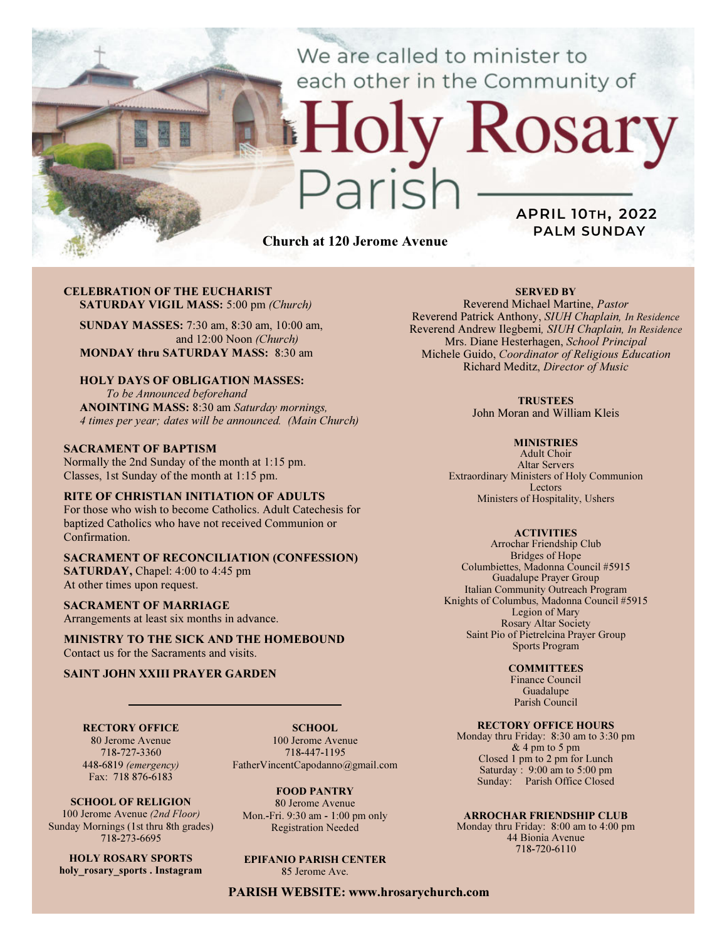We are called to minister to each other in the Community of

## CELEBRATION OF THE EUCHARIST SATURDAY VIGIL MASS: 5:00 pm (Church)

SUNDAY MASSES: 7:30 am, 8:30 am, 10:00 am, and 12:00 Noon (Church) MONDAY thru SATURDAY MASS: 8:30 am

## HOLY DAYS OF OBLIGATION MASSES:

To be Announced beforehand ANOINTING MASS: 8:30 am Saturday mornings, 4 times per year; dates will be announced. (Main Church)

### SACRAMENT OF BAPTISM

Normally the 2nd Sunday of the month at 1:15 pm. Classes, 1st Sunday of the month at 1:15 pm.

## RITE OF CHRISTIAN INITIATION OF ADULTS

For those who wish to become Catholics. Adult Catechesis for baptized Catholics who have not received Communion or Confirmation.

### SACRAMENT OF RECONCILIATION (CONFESSION) SATURDAY, Chapel: 4:00 to 4:45 pm At other times upon request.

SACRAMENT OF MARRIAGE Arrangements at least six months in advance.

MINISTRY TO THE SICK AND THE HOMEBOUND Contact us for the Sacraments and visits.

## SAINT JOHN XXIII PRAYER GARDEN

RECTORY OFFICE 80 Jerome Avenue 718-727-3360 448-6819 (emergency)

Fax: 718 876-6183

SCHOOL OF RELIGION 100 Jerome Avenue (2nd Floor) Sunday Mornings (1st thru 8th grades) 718-273-6695 HOLY ROSARY SPORTS holy rosary sports . Instagram

SCHOOL. 100 Jerome Avenue 718-447-1195 FatherVincentCapodanno@gmail.com

FOOD PANTRY 80 Jerome Avenue Mon.-Fri. 9:30 am - 1:00 pm only Registration Needed

#### EPIFANIO PARISH CENTER 85 Jerome Ave.

PARISH WEBSITE: www.hrosarychurch.com

Church at 120 Jerome Avenue

## SERVED BY

APRIL 10TH, 2022 PALM SUNDAY

Rosary

Reverend Michael Martine, Pastor Reverend Patrick Anthony, SIUH Chaplain, In Residence Reverend Andrew Ilegbemi, SIUH Chaplain, In Residence Mrs. Diane Hesterhagen, School Principal Michele Guido, Coordinator of Religious Education Richard Meditz, Director of Music

#### **TRUSTEES**

John Moran and William Kleis

#### **MINISTRIES**

Adult Choir Altar Servers Extraordinary Ministers of Holy Communion Lectors Ministers of Hospitality, Ushers

#### **ACTIVITIES**

Arrochar Friendship Club Bridges of Hope Columbiettes, Madonna Council #5915 Guadalupe Prayer Group Italian Community Outreach Program Knights of Columbus, Madonna Council #5915 Legion of Mary Rosary Altar Society Saint Pio of Pietrelcina Prayer Group Sports Program

#### **COMMITTEES**

Finance Council Guadalupe Parish Council

## RECTORY OFFICE HOURS

Monday thru Friday: 8:30 am to 3:30 pm & 4 pm to 5 pm Closed 1 pm to 2 pm for Lunch Saturday:  $9:00 \text{ am to } 5:00 \text{ pm}$ Sunday: Parish Office Closed

#### ARROCHAR FRIENDSHIP CLUB

Monday thru Friday: 8:00 am to 4:00 pm 44 Bionia Avenue 718-720-6110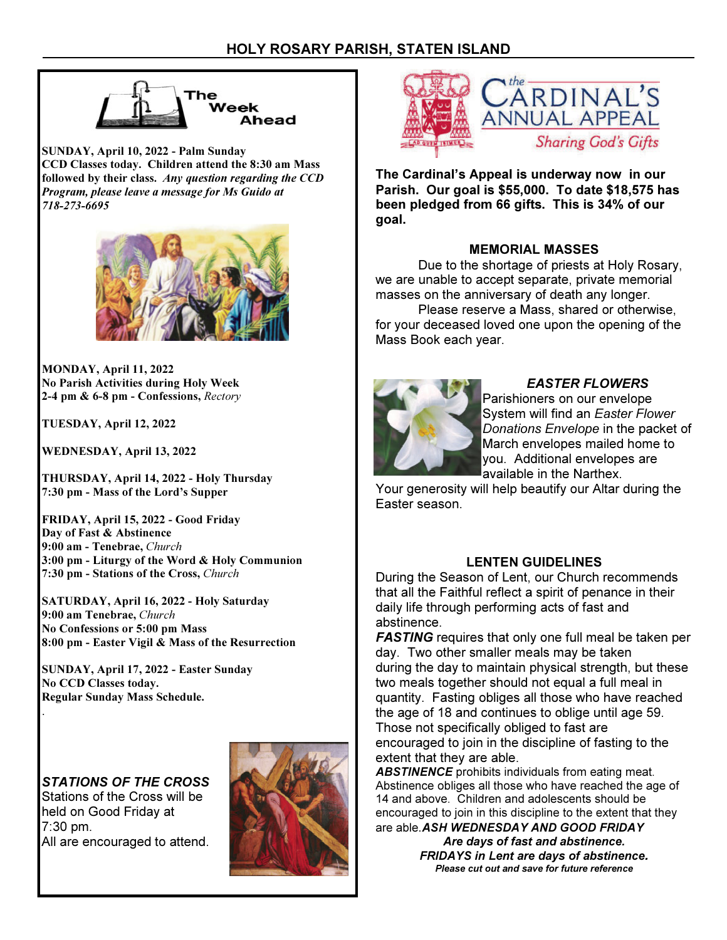

SUNDAY, April 10, 2022 - Palm Sunday CCD Classes today. Children attend the 8:30 am Mass followed by their class. Any question regarding the CCD Program, please leave a message for Ms Guido at 718-273-6695



MONDAY, April 11, 2022 No Parish Activities during Holy Week 2-4 pm & 6-8 pm - Confessions, Rectory

TUESDAY, April 12, 2022

WEDNESDAY, April 13, 2022

THURSDAY, April 14, 2022 - Holy Thursday 7:30 pm - Mass of the Lord's Supper

FRIDAY, April 15, 2022 - Good Friday Day of Fast & Abstinence 9:00 am - Tenebrae, Church 3:00 pm - Liturgy of the Word & Holy Communion 7:30 pm - Stations of the Cross, Church

SATURDAY, April 16, 2022 - Holy Saturday 9:00 am Tenebrae, Church No Confessions or 5:00 pm Mass 8:00 pm - Easter Vigil & Mass of the Resurrection

SUNDAY, April 17, 2022 - Easter Sunday No CCD Classes today. Regular Sunday Mass Schedule.

STATIONS OF THE CROSS Stations of the Cross will be held on Good Friday at 7:30 pm. All are encouraged to attend.

.





The Cardinal's Appeal is underway now in our Parish. Our goal is \$55,000. To date \$18,575 has been pledged from 66 gifts. This is 34% of our goal.

# MEMORIAL MASSES

 Due to the shortage of priests at Holy Rosary, we are unable to accept separate, private memorial masses on the anniversary of death any longer.

 Please reserve a Mass, shared or otherwise, for your deceased loved one upon the opening of the Mass Book each year.



# EASTER FLOWERS

Parishioners on our envelope System will find an Easter Flower Donations Envelope in the packet of March envelopes mailed home to you. Additional envelopes are available in the Narthex.

Your generosity will help beautify our Altar during the Easter season.

# LENTEN GUIDELINES

During the Season of Lent, our Church recommends that all the Faithful reflect a spirit of penance in their daily life through performing acts of fast and abstinence.

**FASTING** requires that only one full meal be taken per day. Two other smaller meals may be taken during the day to maintain physical strength, but these two meals together should not equal a full meal in quantity. Fasting obliges all those who have reached the age of 18 and continues to oblige until age 59. Those not specifically obliged to fast are encouraged to join in the discipline of fasting to the extent that they are able.

**ABSTINENCE** prohibits individuals from eating meat. Abstinence obliges all those who have reached the age of 14 and above. Children and adolescents should be encouraged to join in this discipline to the extent that they are able. ASH WEDNESDAY AND GOOD FRIDAY

> Are days of fast and abstinence. FRIDAYS in Lent are days of abstinence. Please cut out and save for future reference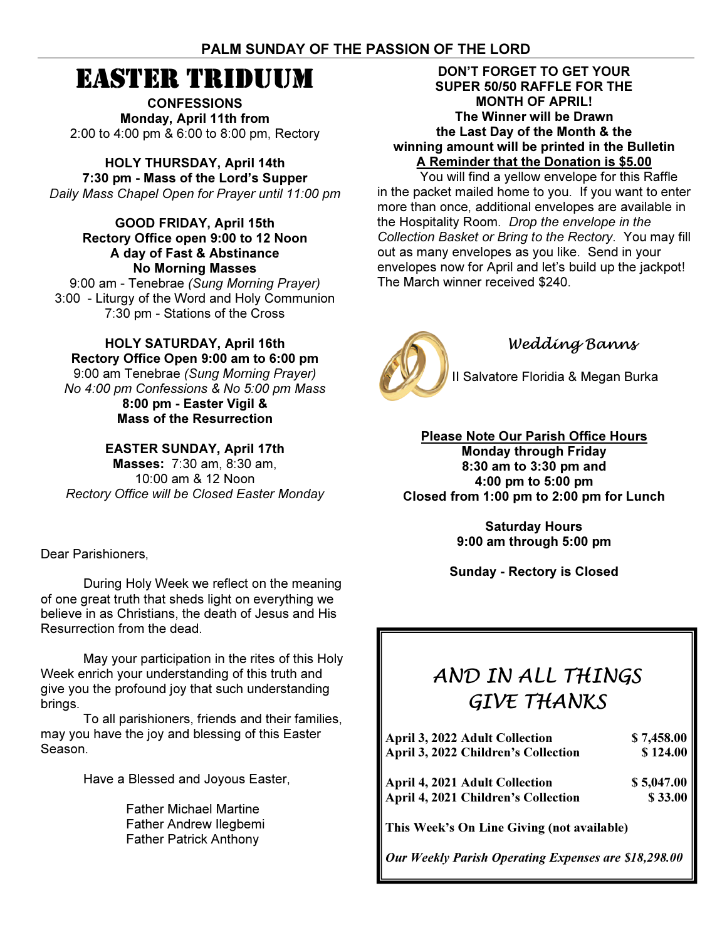# PALM SUNDAY OF THE PASSION OF THE LORD

# EASTER TRIDUUM

**CONFESSIONS** Monday, April 11th from 2:00 to 4:00 pm & 6:00 to 8:00 pm, Rectory

HOLY THURSDAY, April 14th 7:30 pm - Mass of the Lord's Supper Daily Mass Chapel Open for Prayer until 11:00 pm

GOOD FRIDAY, April 15th Rectory Office open 9:00 to 12 Noon A day of Fast & Abstinance No Morning Masses

9:00 am - Tenebrae (Sung Morning Prayer) 3:00 - Liturgy of the Word and Holy Communion 7:30 pm - Stations of the Cross

HOLY SATURDAY, April 16th Rectory Office Open 9:00 am to 6:00 pm 9:00 am Tenebrae (Sung Morning Prayer) No 4:00 pm Confessions & No 5:00 pm Mass 8:00 pm - Easter Vigil & Mass of the Resurrection

EASTER SUNDAY, April 17th

Masses: 7:30 am, 8:30 am, 10:00 am & 12 Noon Rectory Office will be Closed Easter Monday

Dear Parishioners,

 During Holy Week we reflect on the meaning of one great truth that sheds light on everything we believe in as Christians, the death of Jesus and His Resurrection from the dead.

 May your participation in the rites of this Holy Week enrich your understanding of this truth and give you the profound joy that such understanding brings.

 To all parishioners, friends and their families, may you have the joy and blessing of this Easter Season.

Have a Blessed and Joyous Easter,

 Father Michael Martine Father Andrew Ilegbemi Father Patrick Anthony

DON'T FORGET TO GET YOUR SUPER 50/50 RAFFLE FOR THE MONTH OF APRIL! The Winner will be Drawn the Last Day of the Month & the winning amount will be printed in the Bulletin A Reminder that the Donation is \$5.00

 You will find a yellow envelope for this Raffle in the packet mailed home to you. If you want to enter more than once, additional envelopes are available in the Hospitality Room. Drop the envelope in the Collection Basket or Bring to the Rectory. You may fill out as many envelopes as you like. Send in your envelopes now for April and let's build up the jackpot! The March winner received \$240.



# Wedding Banns

II Salvatore Floridia & Megan Burka

Please Note Our Parish Office Hours Monday through Friday 8:30 am to 3:30 pm and 4:00 pm to 5:00 pm Closed from 1:00 pm to 2:00 pm for Lunch

> Saturday Hours 9:00 am through 5:00 pm

Sunday - Rectory is Closed

# AND IN ALL THINGS GIVE THANKS

| April 3, 2022 Adult Collection             | \$7,458.00 |
|--------------------------------------------|------------|
| April 3, 2022 Children's Collection        | \$124.00   |
| April 4, 2021 Adult Collection             | \$5,047.00 |
| April 4, 2021 Children's Collection        | \$33.00    |
| This Week's On Line Giving (not available) |            |

Our Weekly Parish Operating Expenses are \$18,298.00